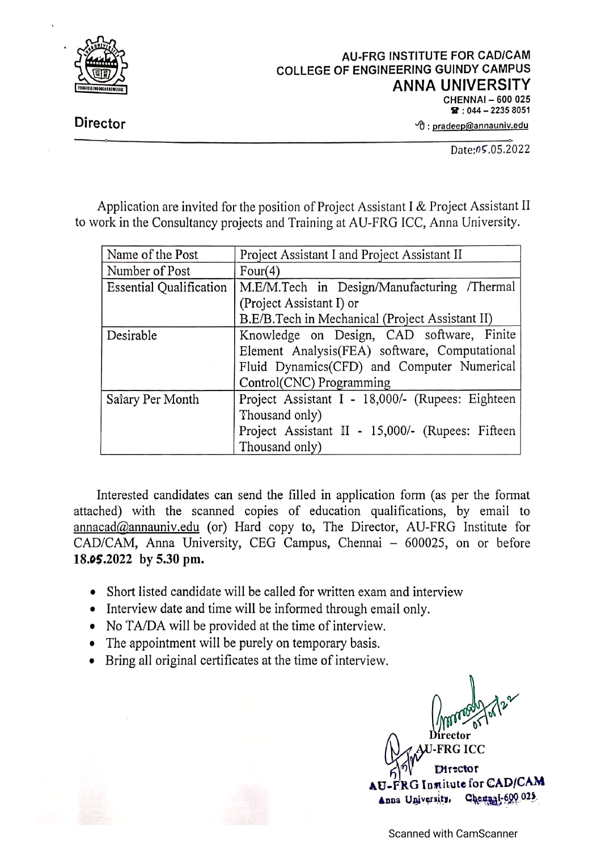

**Director** 

 $\Theta$ : pradeep@annauniv.edu

Date:05.05.2022

Application are invited for the position of Project Assistant I & Project Assistant II to work in the Consultancy projects and Training at AU-FRG ICC, Anna University.

| Name of the Post               | Project Assistant I and Project Assistant II     |  |  |  |  |
|--------------------------------|--------------------------------------------------|--|--|--|--|
| Number of Post                 | Four $(4)$                                       |  |  |  |  |
| <b>Essential Qualification</b> | M.E/M.Tech in Design/Manufacturing /Thermal      |  |  |  |  |
|                                | (Project Assistant I) or                         |  |  |  |  |
|                                | B.E/B.Tech in Mechanical (Project Assistant II)  |  |  |  |  |
| Desirable                      | Knowledge on Design, CAD software, Finite        |  |  |  |  |
|                                | Element Analysis(FEA) software, Computational    |  |  |  |  |
|                                | Fluid Dynamics(CFD) and Computer Numerical       |  |  |  |  |
|                                | Control(CNC) Programming                         |  |  |  |  |
| Salary Per Month               | Project Assistant I - 18,000/- (Rupees: Eighteen |  |  |  |  |
|                                | Thousand only)                                   |  |  |  |  |
|                                | Project Assistant II - 15,000/- (Rupees: Fifteen |  |  |  |  |
|                                | Thousand only)                                   |  |  |  |  |

Interested candidates can send the filled in application form (as per the format attached) with the scanned copies of education qualifications, by email to annacad@annauniv.edu (or) Hard copy to, The Director, AU-FRG Institute for CAD/CAM, Anna University, CEG Campus, Chennai - 600025, on or before 18.05.2022 by 5.30 pm.

- Short listed candidate will be called for written exam and interview
- Interview date and time will be informed through email only.
- No TA/DA will be provided at the time of interview.
- The appointment will be purely on temporary basis.
- Bring all original certificates at the time of interview.

**FRG ICC Elirector** -FRG Institute for CAD/CAM Anna University, Chemnai-600 025.

**Scanned with CamScanner**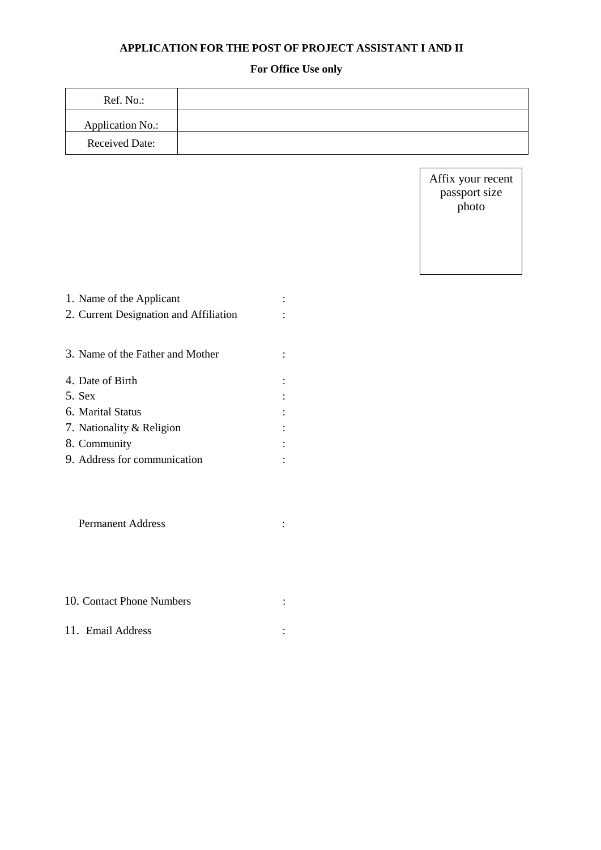## **APPLICATION FOR THE POST OF PROJECT ASSISTANT I AND II**

## **For Office Use only**

| Ref. No.:             |  |
|-----------------------|--|
| Application No.:      |  |
| <b>Received Date:</b> |  |

Affix your recent passport size photo

| 1. Name of the Applicant               |  |
|----------------------------------------|--|
| 2. Current Designation and Affiliation |  |
|                                        |  |
| 3. Name of the Father and Mother       |  |
| 4. Date of Birth                       |  |
| 5. Sex                                 |  |
| 6. Marital Status                      |  |
| 7. Nationality & Religion              |  |
| 8. Community                           |  |
| 9. Address for communication           |  |
|                                        |  |

| 10. Contact Phone Numbers |  |
|---------------------------|--|
|                           |  |

11. Email Address :